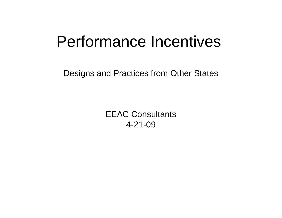### Performance Incentives

Designs and Practices from Other States

EEAC Consultants 4-21-09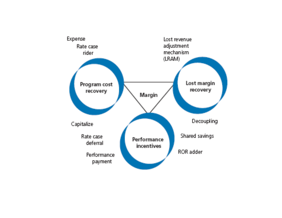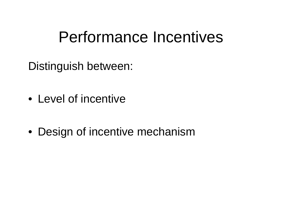## Performance Incentives

Distinguish between:

- Level of incentive
- Design of incentive mechanism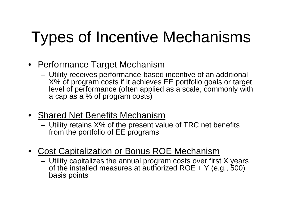# Types of Incentive Mechanisms

- Performance Target Mechanism
	- Utility receives performance-based incentive of an additional X% of program costs if it achieves EE portfolio goals or target level of performance (often applied as a scale, commonly with a cap as a % of program costs)
- Shared Net Benefits Mechanism
	- Utility retains X% of the present value of TRC net benefits from the portfolio of EE programs
- • Cost Capitalization or Bonus ROE Mechanism
	- Utility capitalizes the annual program costs over first X years of the installed measures at authorized ROE + Y (e.g., 500) basis points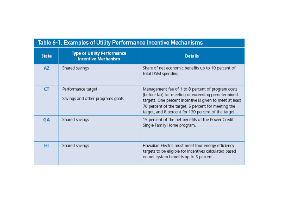| Table 6-1. Examples of Utility Performance Incentive Mechanisms |                                                                  |                                                                                                                                                                                                                                                                                     |  |  |
|-----------------------------------------------------------------|------------------------------------------------------------------|-------------------------------------------------------------------------------------------------------------------------------------------------------------------------------------------------------------------------------------------------------------------------------------|--|--|
| <b>State</b>                                                    | <b>Type of Utility Performance</b><br><b>Incentive Mechanism</b> | <b>Details</b>                                                                                                                                                                                                                                                                      |  |  |
| <b>AZ</b>                                                       | Shared savings                                                   | Share of net economic benefits up to 10 percent of<br>total DSM spending.                                                                                                                                                                                                           |  |  |
| <b>CT</b>                                                       | Performance target<br>Savings and other programs goals           | Management fee of 1 to 8 percent of program costs<br>(before tax) for meeting or exceeding predetermined<br>targets. One percent incentive is given to meet at least<br>70 percent of the target, 5 percent for meeting the<br>target, and 8 percent for 130 percent of the target. |  |  |
| <b>GA</b>                                                       | Shared savings                                                   | 15 percent of the net benefits of the Power Credit<br>Single Family Home program.                                                                                                                                                                                                   |  |  |
| HI                                                              | Shared savings                                                   | Hawaiian Electric must meet four energy efficiency<br>targets to be eligible for incentives calculated based<br>on net system benefits up to 5 percent.                                                                                                                             |  |  |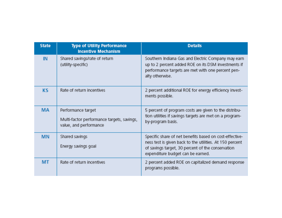| <b>State</b> | <b>Type of Utility Performance</b><br><b>Incentive Mechanism</b>                           | <b>Details</b>                                                                                                                                                                                                |
|--------------|--------------------------------------------------------------------------------------------|---------------------------------------------------------------------------------------------------------------------------------------------------------------------------------------------------------------|
| <b>IN</b>    | Shared savings/rate of return<br>(utility-specific)                                        | Southern Indiana Gas and Electric Company may earn<br>up to 2 percent added ROE on its DSM investments if<br>performance targets are met with one percent pen-<br>alty otherwise.                             |
| <b>KS</b>    | Rate of return incentives                                                                  | 2 percent additional ROE for energy efficiency invest-<br>ments possible.                                                                                                                                     |
| <b>MA</b>    | Performance target<br>Multi-factor performance targets, savings,<br>value, and performance | 5 percent of program costs are given to the distribu-<br>tion utilities if savings targets are met on a program-<br>by-program basis.                                                                         |
| <b>MN</b>    | Shared savings<br>Energy savings goal                                                      | Specific share of net benefits based on cost-effective-<br>ness test is given back to the utilities. At 150 percent<br>of savings target, 30 percent of the conservation<br>expenditure budget can be earned. |
| MT           | Rate of return incentives                                                                  | 2 percent added ROE on capitalized demand response<br>programs possible.                                                                                                                                      |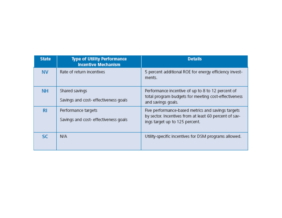| <b>State</b> | <b>Type of Utility Performance</b><br><b>Incentive Mechanism</b> | <b>Details</b>                                                                                                                                 |
|--------------|------------------------------------------------------------------|------------------------------------------------------------------------------------------------------------------------------------------------|
| <b>NV</b>    | Rate of return incentives                                        | 5 percent additional ROE for energy efficiency invest-<br>ments.                                                                               |
| <b>NH</b>    | Shared savings<br>Savings and cost- effectiveness goals          | Performance incentive of up to 8 to 12 percent of<br>total program budgets for meeting cost-effectiveness<br>and savings goals.                |
| <b>RI</b>    | Performance targets<br>Savings and cost- effectiveness goals     | Five performance-based metrics and savings targets<br>by sector. Incentives from at least 60 percent of sav-<br>ings target up to 125 percent. |
| <b>SC</b>    | N/A                                                              | Utility-specific incentives for DSM programs allowed.                                                                                          |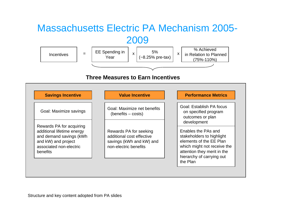#### Massachusetts Electric PA Mechanism 2005- 2009



**Three Measures to Earn Incentives**

| <b>Savings Incentive</b>                                                                                                                        | <b>Value Incentive</b>                                                                                   | <b>Performance Metrics</b>                                                                                                                                                                        |
|-------------------------------------------------------------------------------------------------------------------------------------------------|----------------------------------------------------------------------------------------------------------|---------------------------------------------------------------------------------------------------------------------------------------------------------------------------------------------------|
| Goal: Maximize savings                                                                                                                          | Goal: Maximize net benefits<br>(benefits – costs)                                                        | Goal: Establish PA focus<br>on specified program<br>outcomes or plan                                                                                                                              |
| Rewards PA for acquiring<br>additional lifetime energy<br>and demand savings (kWh<br>and kW) and project<br>associated non-electric<br>benefits | Rewards PA for seeking<br>additional cost effective<br>savings (kWh and kW) and<br>non-electric benefits | development<br>Enables the PAs and<br>stakeholders to highlight<br>elements of the EE Plan<br>which might not receive the<br>attention they merit in the<br>hierarchy of carrying out<br>the Plan |

Structure and key content adopted from PA slides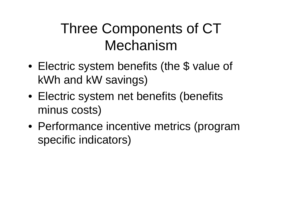### Three Components of CT Mechanism

- • Electric system benefits (the \$ value of kWh and kW savings)
- Electric system net benefits (benefits minus costs)
- Performance incentive metrics (program specific indicators)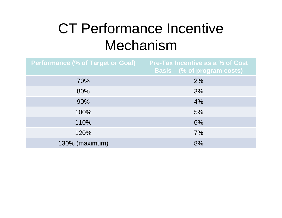### CT Performance Incentive Mechanism

| <b>Performance (% of Target or Goal)</b> | <b>Pre-Tax Incentive as a % of Cost</b><br><b>Basis</b> (% of program costs) |
|------------------------------------------|------------------------------------------------------------------------------|
| 70%                                      | 2%                                                                           |
| 80%                                      | 3%                                                                           |
| 90%                                      | 4%                                                                           |
| 100%                                     | 5%                                                                           |
| 110%                                     | 6%                                                                           |
| 120%                                     | 7%                                                                           |
| 130% (maximum)                           | 8%                                                                           |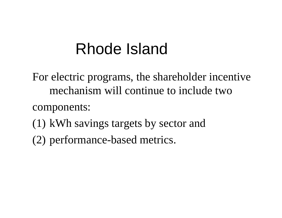## Rhode Island

For electric programs, the shareholder incentive mechanism will continue to include two

components:

- (1) kWh savings targets by sector and
- (2) performance-based metrics.